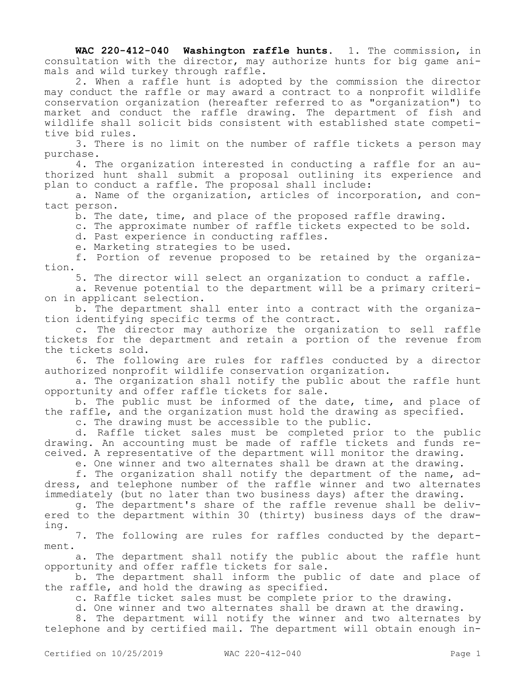**WAC 220-412-040 Washington raffle hunts.** 1. The commission, in consultation with the director, may authorize hunts for big game animals and wild turkey through raffle.

2. When a raffle hunt is adopted by the commission the director may conduct the raffle or may award a contract to a nonprofit wildlife conservation organization (hereafter referred to as "organization") to market and conduct the raffle drawing. The department of fish and wildlife shall solicit bids consistent with established state competitive bid rules.

3. There is no limit on the number of raffle tickets a person may purchase.

4. The organization interested in conducting a raffle for an authorized hunt shall submit a proposal outlining its experience and plan to conduct a raffle. The proposal shall include:

a. Name of the organization, articles of incorporation, and contact person.

b. The date, time, and place of the proposed raffle drawing.

c. The approximate number of raffle tickets expected to be sold.

d. Past experience in conducting raffles.

e. Marketing strategies to be used.

f. Portion of revenue proposed to be retained by the organization.

5. The director will select an organization to conduct a raffle.

a. Revenue potential to the department will be a primary criterion in applicant selection.

b. The department shall enter into a contract with the organization identifying specific terms of the contract.

c. The director may authorize the organization to sell raffle tickets for the department and retain a portion of the revenue from the tickets sold.

6. The following are rules for raffles conducted by a director authorized nonprofit wildlife conservation organization.

a. The organization shall notify the public about the raffle hunt opportunity and offer raffle tickets for sale.

b. The public must be informed of the date, time, and place of the raffle, and the organization must hold the drawing as specified. c. The drawing must be accessible to the public.

d. Raffle ticket sales must be completed prior to the public drawing. An accounting must be made of raffle tickets and funds received. A representative of the department will monitor the drawing.

e. One winner and two alternates shall be drawn at the drawing.

f. The organization shall notify the department of the name, address, and telephone number of the raffle winner and two alternates immediately (but no later than two business days) after the drawing.

g. The department's share of the raffle revenue shall be delivered to the department within 30 (thirty) business days of the drawing.

7. The following are rules for raffles conducted by the department.

a. The department shall notify the public about the raffle hunt opportunity and offer raffle tickets for sale.

b. The department shall inform the public of date and place of the raffle, and hold the drawing as specified.

c. Raffle ticket sales must be complete prior to the drawing.

d. One winner and two alternates shall be drawn at the drawing.

8. The department will notify the winner and two alternates by telephone and by certified mail. The department will obtain enough in